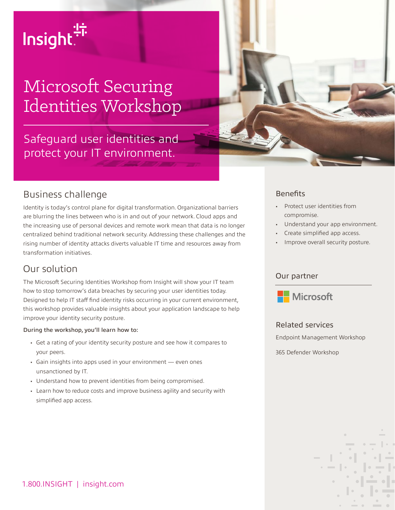# Insight.<sup>4</sup>

# Microsoft Securing Identities Workshop

# Safeguard user identities and protect your IT environment.



### Business challenge

Identity is today's control plane for digital transformation. Organizational barriers are blurring the lines between who is in and out of your network. Cloud apps and the increasing use of personal devices and remote work mean that data is no longer centralized behind traditional network security. Addressing these challenges and the rising number of identity attacks diverts valuable IT time and resources away from transformation initiatives.

# Our solution

The Microsoft Securing Identities Workshop from Insight will show your IT team how to stop tomorrow's data breaches by securing your user identities today. Designed to help IT staff find identity risks occurring in your current environment, this workshop provides valuable insights about your application landscape to help improve your identity security posture.

#### During the workshop, you'll learn how to:

- Get a rating of your identity security posture and see how it compares to your peers.
- Gain insights into apps used in your environment even ones unsanctioned by IT.
- Understand how to prevent identities from being compromised.
- Learn how to reduce costs and improve business agility and security with simplified app access.

#### **Benefits**

- Protect user identities from compromise.
- Understand your app environment.
- Create simplified app access.
- Improve overall security posture.

#### Our partner



#### Related services

Endpoint Management Workshop

365 Defender Workshop